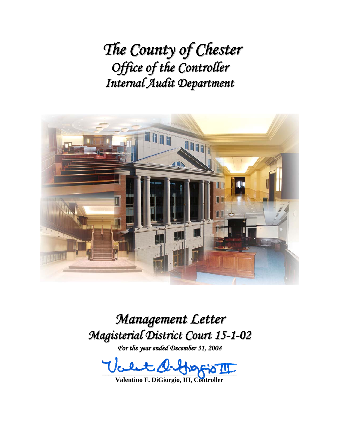*The County of Chester Office of the Controller Internal Audit Department*



*Management Letter Magisterial District Court 15-1-02*

*For the year ended December 31, 2008*

 $\textit{Ucl.4}$  Apperio III

**Valentino F. DiGiorgio, III, Controller**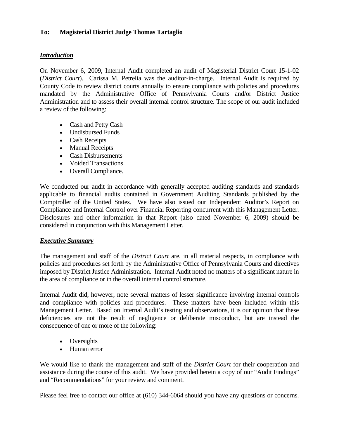## **To: Magisterial District Judge Thomas Tartaglio**

## *Introduction*

On November 6, 2009, Internal Audit completed an audit of Magisterial District Court 15-1-02 (*District Court*). Carissa M. Petrelia was the auditor-in-charge. Internal Audit is required by County Code to review district courts annually to ensure compliance with policies and procedures mandated by the Administrative Office of Pennsylvania Courts and/or District Justice Administration and to assess their overall internal control structure. The scope of our audit included a review of the following:

- Cash and Petty Cash
- Undisbursed Funds
- Cash Receipts
- Manual Receipts
- Cash Disbursements
- Voided Transactions
- Overall Compliance.

We conducted our audit in accordance with generally accepted auditing standards and standards applicable to financial audits contained in Government Auditing Standards published by the Comptroller of the United States. We have also issued our Independent Auditor's Report on Compliance and Internal Control over Financial Reporting concurrent with this Management Letter. Disclosures and other information in that Report (also dated November 6, 2009) should be considered in conjunction with this Management Letter.

## *Executive Summary*

The management and staff of the *District Court* are, in all material respects, in compliance with policies and procedures set forth by the Administrative Office of Pennsylvania Courts and directives imposed by District Justice Administration. Internal Audit noted no matters of a significant nature in the area of compliance or in the overall internal control structure.

Internal Audit did, however, note several matters of lesser significance involving internal controls and compliance with policies and procedures. These matters have been included within this Management Letter. Based on Internal Audit's testing and observations, it is our opinion that these deficiencies are not the result of negligence or deliberate misconduct, but are instead the consequence of one or more of the following:

- Oversights
- Human error

We would like to thank the management and staff of the *District Court* for their cooperation and assistance during the course of this audit. We have provided herein a copy of our "Audit Findings" and "Recommendations" for your review and comment.

Please feel free to contact our office at (610) 344-6064 should you have any questions or concerns.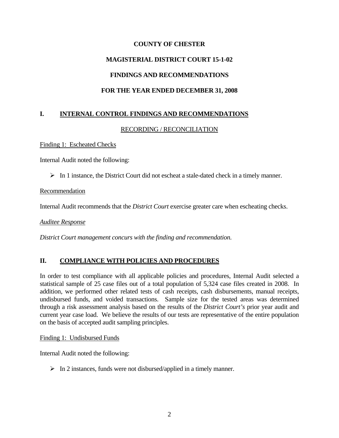# **MAGISTERIAL DISTRICT COURT 15-1-02**

# **FINDINGS AND RECOMMENDATIONS**

# **FOR THE YEAR ENDED DECEMBER 31, 2008**

# **I. INTERNAL CONTROL FINDINGS AND RECOMMENDATIONS**

## RECORDING / RECONCILIATION

Finding 1: Escheated Checks

Internal Audit noted the following:

 $\triangleright$  In 1 instance, the District Court did not escheat a stale-dated check in a timely manner.

## Recommendation

Internal Audit recommends that the *District Court* exercise greater care when escheating checks.

*Auditee Response*

*District Court management concurs with the finding and recommendation.* 

## **II. COMPLIANCE WITH POLICIES AND PROCEDURES**

In order to test compliance with all applicable policies and procedures, Internal Audit selected a statistical sample of 25 case files out of a total population of 5,324 case files created in 2008. In addition, we performed other related tests of cash receipts, cash disbursements, manual receipts, undisbursed funds, and voided transactions. Sample size for the tested areas was determined through a risk assessment analysis based on the results of the *District Court's* prior year audit and current year case load. We believe the results of our tests are representative of the entire population on the basis of accepted audit sampling principles.

## Finding 1: Undisbursed Funds

Internal Audit noted the following:

 $\triangleright$  In 2 instances, funds were not disbursed/applied in a timely manner.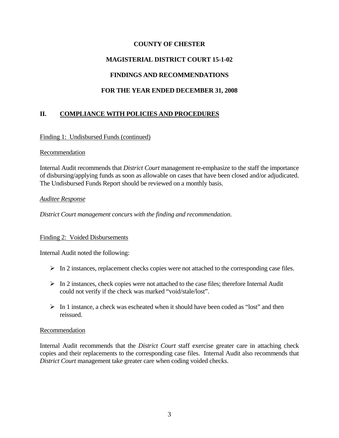# **MAGISTERIAL DISTRICT COURT 15-1-02**

# **FINDINGS AND RECOMMENDATIONS**

# **FOR THE YEAR ENDED DECEMBER 31, 2008**

# **II. COMPLIANCE WITH POLICIES AND PROCEDURES**

## Finding 1: Undisbursed Funds (continued)

## Recommendation

Internal Audit recommends that *District Court* management re-emphasize to the staff the importance of disbursing/applying funds as soon as allowable on cases that have been closed and/or adjudicated. The Undisbursed Funds Report should be reviewed on a monthly basis.

## *Auditee Response*

*District Court management concurs with the finding and recommendation.* 

## Finding 2: Voided Disbursements

Internal Audit noted the following:

- $\triangleright$  In 2 instances, replacement checks copies were not attached to the corresponding case files.
- $\triangleright$  In 2 instances, check copies were not attached to the case files; therefore Internal Audit could not verify if the check was marked "void/stale/lost".
- $\triangleright$  In 1 instance, a check was escheated when it should have been coded as "lost" and then reissued.

## Recommendation

Internal Audit recommends that the *District Court* staff exercise greater care in attaching check copies and their replacements to the corresponding case files. Internal Audit also recommends that *District Court* management take greater care when coding voided checks.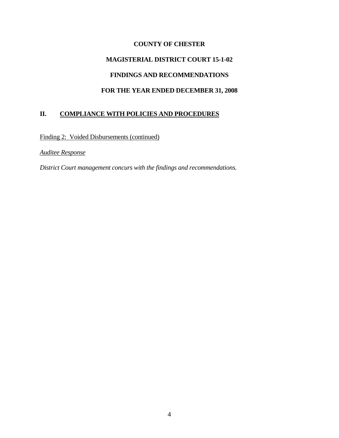# **MAGISTERIAL DISTRICT COURT 15-1-02 FINDINGS AND RECOMMENDATIONS**

# **FOR THE YEAR ENDED DECEMBER 31, 2008**

# **II. COMPLIANCE WITH POLICIES AND PROCEDURES**

Finding 2: Voided Disbursements (continued)

*Auditee Response*

*District Court management concurs with the findings and recommendations.*